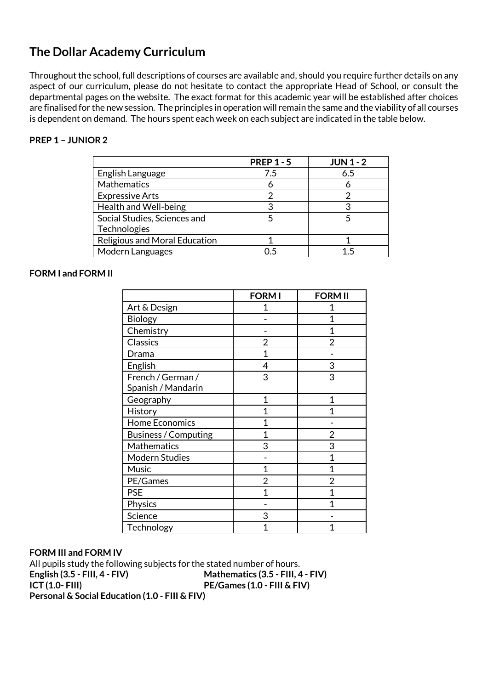## **The Dollar Academy Curriculum**

Throughout the school, full descriptions of courses are available and, should you require further details on any aspect of our curriculum, please do not hesitate to contact the appropriate Head of School, or consult the departmental pages on the website. The exact format for this academic year will be established after choices are finalised for the new session. The principles in operation will remain the same and the viability of all courses is dependent on demand. The hours spent each week on each subject are indicated in the table below.

## **PREP 1 – JUNIOR 2**

|                                      | <b>PREP 1 - 5</b> | <b>JUN 1 - 2</b> |
|--------------------------------------|-------------------|------------------|
| English Language                     | 7.5               | 6.5              |
| Mathematics                          |                   |                  |
| <b>Expressive Arts</b>               |                   |                  |
| Health and Well-being                |                   | 3                |
| Social Studies, Sciences and         |                   |                  |
| Technologies                         |                   |                  |
| <b>Religious and Moral Education</b> |                   |                  |
| Modern Languages                     | 06                |                  |

## **FORM I and FORM II**

|                             | <b>FORM I</b> | <b>FORM II</b> |
|-----------------------------|---------------|----------------|
| Art & Design                |               |                |
| Biology                     |               | 1              |
| Chemistry                   |               | 1              |
| Classics                    | 2             | $\overline{2}$ |
| Drama                       | 1             |                |
| English                     | 4             | 3              |
| French / German /           | 3             | 3              |
| Spanish / Mandarin          |               |                |
| Geography                   | 1             | 1              |
| History                     | 1             | 1              |
| <b>Home Economics</b>       | 1             |                |
| <b>Business / Computing</b> | 1             | 2              |
| Mathematics                 | 3             | 3              |
| Modern Studies              |               | 1              |
| Music                       | 1             | 1              |
| PE/Games                    | 2             | $\overline{2}$ |
| <b>PSE</b>                  | 1             | 1              |
| Physics                     |               | 1              |
| Science                     | 3             |                |
| Technology                  |               |                |

## **FORM III and FORM IV**

All pupils study the following subjects for the stated number of hours. **English (3.5 - FIII, 4 - FIV) Mathematics (3.5 - FIII, 4 - FIV) ICT (1.0- FIII) PE/Games (1.0 - FIII & FIV) Personal & Social Education (1.0 - FIII & FIV)**